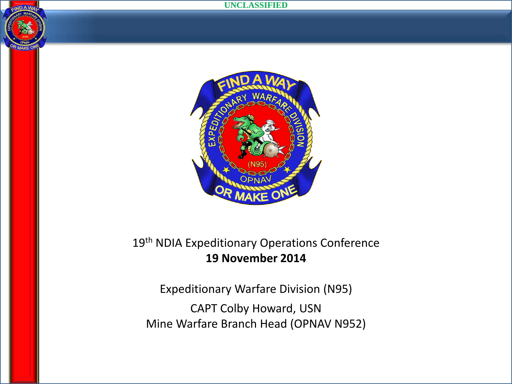



#### 19<sup>th</sup> NDIA Expeditionary Operations Conference **19 November 2014**

Expeditionary Warfare Division (N95) CAPT Colby Howard, USN Mine Warfare Branch Head (OPNAV N952)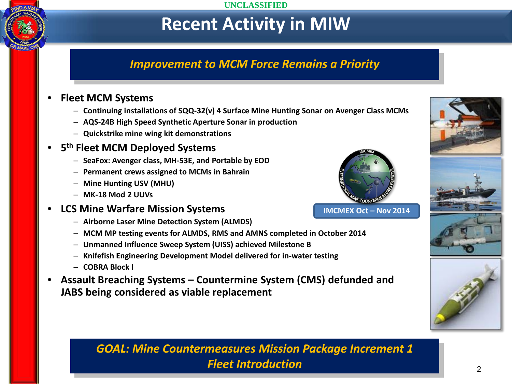# **Recent Activity in MIW**

#### *Improvement to MCM Force Remains a Priority*

#### • **Fleet MCM Systems**

- ─ **Continuing installations of SQQ-32(v) 4 Surface Mine Hunting Sonar on Avenger Class MCMs**
- ─ **AQS-24B High Speed Synthetic Aperture Sonar in production**
- ─ **Quickstrike mine wing kit demonstrations**

#### • **5th Fleet MCM Deployed Systems**

- ─ **SeaFox: Avenger class, MH-53E, and Portable by EOD**
- ─ **Permanent crews assigned to MCMs in Bahrain**
- ─ **Mine Hunting USV (MHU)**
- ─ **MK-18 Mod 2 UUVs**

#### • **LCS Mine Warfare Mission Systems**

- ─ **Airborne Laser Mine Detection System (ALMDS)**
- ─ **MCM MP testing events for ALMDS, RMS and AMNS completed in October 2014**
- ─ **Unmanned Influence Sweep System (UISS) achieved Milestone B**
- ─ **Knifefish Engineering Development Model delivered for in-water testing**
- ─ **COBRA Block I**
- **Assault Breaching Systems – Countermine System (CMS) defunded and JABS being considered as viable replacement**



**IMCMEX Oct – Nov 2014**







*GOAL: Mine Countermeasures Mission Package Increment 1 Fleet Introduction*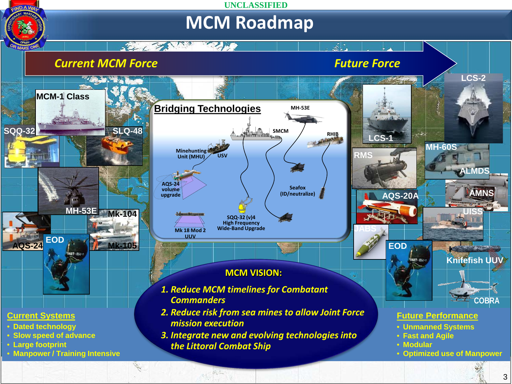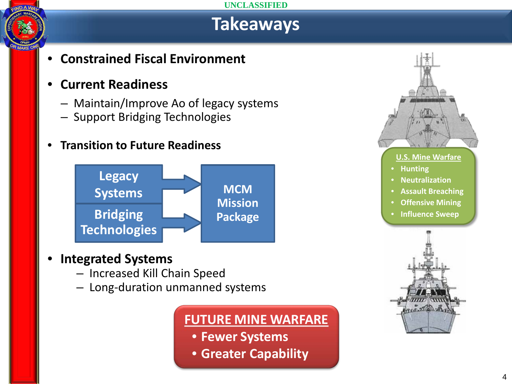# **Takeaways**

• **Constrained Fiscal Environment**

### • **Current Readiness**

- Maintain/Improve Ao of legacy systems
- Support Bridging Technologies
- **Transition to Future Readiness**



### • **Integrated Systems**

- Increased Kill Chain Speed
- Long-duration unmanned systems

### **FUTURE MINE WARFARE**

- **Fewer Systems**
- **Greater Capability**

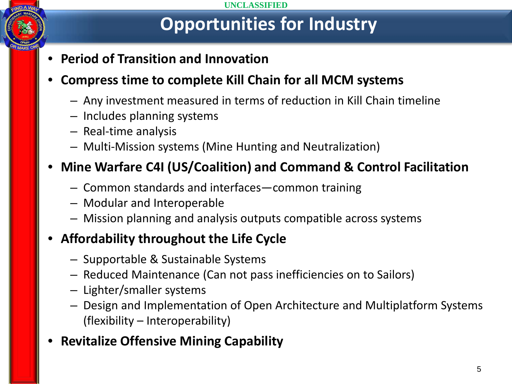# **Opportunities for Industry**

• **Period of Transition and Innovation**

### • **Compress time to complete Kill Chain for all MCM systems**

- Any investment measured in terms of reduction in Kill Chain timeline
- Includes planning systems
- Real-time analysis
- Multi-Mission systems (Mine Hunting and Neutralization)

## • **Mine Warfare C4I (US/Coalition) and Command & Control Facilitation**

- Common standards and interfaces—common training
- Modular and Interoperable
- Mission planning and analysis outputs compatible across systems

## • **Affordability throughout the Life Cycle**

- Supportable & Sustainable Systems
- Reduced Maintenance (Can not pass inefficiencies on to Sailors)
- Lighter/smaller systems
- Design and Implementation of Open Architecture and Multiplatform Systems (flexibility – Interoperability)
- **Revitalize Offensive Mining Capability**